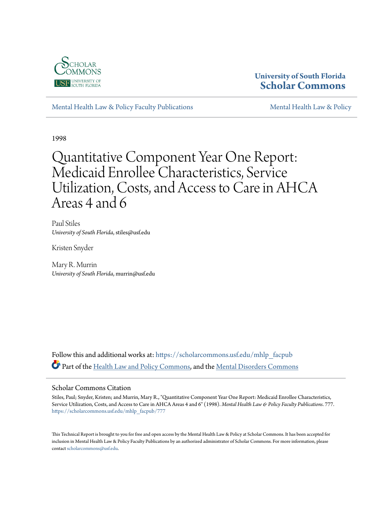

### **University of South Florida [Scholar Commons](https://scholarcommons.usf.edu?utm_source=scholarcommons.usf.edu%2Fmhlp_facpub%2F777&utm_medium=PDF&utm_campaign=PDFCoverPages)**

[Mental Health Law & Policy Faculty Publications](https://scholarcommons.usf.edu/mhlp_facpub?utm_source=scholarcommons.usf.edu%2Fmhlp_facpub%2F777&utm_medium=PDF&utm_campaign=PDFCoverPages) [Mental Health Law & Policy](https://scholarcommons.usf.edu/mhlp?utm_source=scholarcommons.usf.edu%2Fmhlp_facpub%2F777&utm_medium=PDF&utm_campaign=PDFCoverPages)

1998

# Quantitative Component Year One Report: Medicaid Enrollee Characteristics, Service Utilization, Costs, and Access to Care in AHCA Areas 4 and 6

Paul Stiles *University of South Florida*, stiles@usf.edu

Kristen Snyder

Mary R. Murrin *University of South Florida*, murrin@usf.edu

Follow this and additional works at: [https://scholarcommons.usf.edu/mhlp\\_facpub](https://scholarcommons.usf.edu/mhlp_facpub?utm_source=scholarcommons.usf.edu%2Fmhlp_facpub%2F777&utm_medium=PDF&utm_campaign=PDFCoverPages) Part of the [Health Law and Policy Commons](http://network.bepress.com/hgg/discipline/901?utm_source=scholarcommons.usf.edu%2Fmhlp_facpub%2F777&utm_medium=PDF&utm_campaign=PDFCoverPages), and the [Mental Disorders Commons](http://network.bepress.com/hgg/discipline/968?utm_source=scholarcommons.usf.edu%2Fmhlp_facpub%2F777&utm_medium=PDF&utm_campaign=PDFCoverPages)

### Scholar Commons Citation

Stiles, Paul; Snyder, Kristen; and Murrin, Mary R., "Quantitative Component Year One Report: Medicaid Enrollee Characteristics, Service Utilization, Costs, and Access to Care in AHCA Areas 4 and 6" (1998). *Mental Health Law & Policy Faculty Publications*. 777. [https://scholarcommons.usf.edu/mhlp\\_facpub/777](https://scholarcommons.usf.edu/mhlp_facpub/777?utm_source=scholarcommons.usf.edu%2Fmhlp_facpub%2F777&utm_medium=PDF&utm_campaign=PDFCoverPages)

This Technical Report is brought to you for free and open access by the Mental Health Law & Policy at Scholar Commons. It has been accepted for inclusion in Mental Health Law & Policy Faculty Publications by an authorized administrator of Scholar Commons. For more information, please contact [scholarcommons@usf.edu.](mailto:scholarcommons@usf.edu)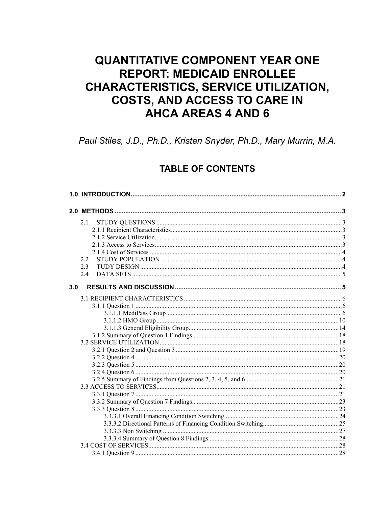# **QUANTITATIVE COMPONENT YEAR ONE REPORT: MEDICAID ENROLLEE CHARACTERISTICS, SERVICE UTILIZATION, COSTS, AND ACCESS TO CARE IN AHCA AREAS 4 AND 6**

Paul Stiles, J.D., Ph.D., Kristen Snyder, Ph.D., Mary Murrin, M.A.

### **TABLE OF CONTENTS**

|     | 2.1                                 |  |
|-----|-------------------------------------|--|
|     |                                     |  |
|     |                                     |  |
|     |                                     |  |
|     |                                     |  |
|     | 2.2                                 |  |
|     | 2.3                                 |  |
|     | 24                                  |  |
| 3.0 |                                     |  |
|     |                                     |  |
|     |                                     |  |
|     |                                     |  |
|     |                                     |  |
|     |                                     |  |
|     |                                     |  |
|     |                                     |  |
|     |                                     |  |
|     |                                     |  |
|     |                                     |  |
|     |                                     |  |
|     |                                     |  |
|     |                                     |  |
|     |                                     |  |
|     |                                     |  |
|     |                                     |  |
|     |                                     |  |
|     |                                     |  |
|     |                                     |  |
|     |                                     |  |
|     |                                     |  |
|     |                                     |  |
|     | $\frac{28}{28}$<br>3.4.1 Question 9 |  |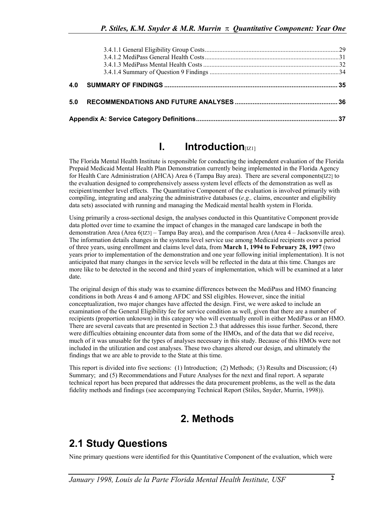| 5.0 |  |
|-----|--|
|     |  |

## **I.** Introduction

The Florida Mental Health Institute is responsible for conducting the independent evaluation of the Florida Prepaid Medicaid Mental Health Plan Demonstration currently being implemented in the Florida Agency for Health Care Administration (AHCA) Area 6 (Tampa Bay area). There are several components[IZ2] to the evaluation designed to comprehensively assess system level effects of the demonstration as well as recipient/member level effects. The Quantitative Component of the evaluation is involved primarily with compiling, integrating and analyzing the administrative databases (*e.g.,* claims, encounter and eligibility data sets) associated with running and managing the Medicaid mental health system in Florida.

Using primarily a cross-sectional design, the analyses conducted in this Quantitative Component provide data plotted over time to examine the impact of changes in the managed care landscape in both the demonstration Area (Area 6[IZ3] – Tampa Bay area), and the comparison Area (Area 4 – Jacksonville area). The information details changes in the systems level service use among Medicaid recipients over a period of three years, using enrollment and claims level data, from **March 1, 1994 to February 28, 1997** (two years prior to implementation of the demonstration and one year following initial implementation). It is not anticipated that many changes in the service levels will be reflected in the data at this time. Changes are more like to be detected in the second and third years of implementation, which will be examined at a later date.

The original design of this study was to examine differences between the MediPass and HMO financing conditions in both Areas 4 and 6 among AFDC and SSI eligibles. However, since the initial conceptualization, two major changes have affected the design. First, we were asked to include an examination of the General Eligibility fee for service condition as well, given that there are a number of recipients (proportion unknown) in this category who will eventually enroll in either MediPass or an HMO. There are several caveats that are presented in Section 2.3 that addresses this issue further. Second, there were difficulties obtaining encounter data from some of the HMOs, and of the data that we did receive, much of it was unusable for the types of analyses necessary in this study. Because of this HMOs were not included in the utilization and cost analyses. These two changes altered our design, and ultimately the findings that we are able to provide to the State at this time.

This report is divided into five sections: (1) Introduction; (2) Methods; (3) Results and Discussion; (4) Summary; and (5) Recommendations and Future Analyses for the next and final report. A separate technical report has been prepared that addresses the data procurement problems, as the well as the data fidelity methods and findings (see accompanying Technical Report (Stiles, Snyder, Murrin, 1998)).

## **2. Methods**

# **2.1 Study Questions**

Nine primary questions were identified for this Quantitative Component of the evaluation, which were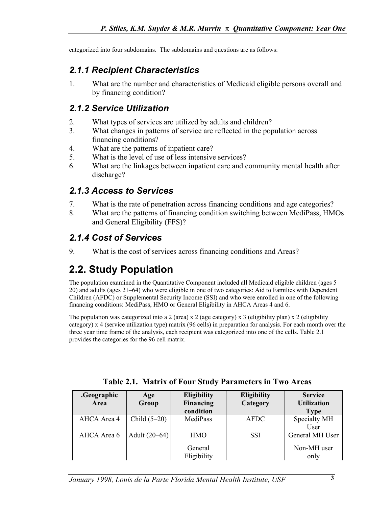categorized into four subdomains. The subdomains and questions are as follows:

## *2.1.1 Recipient Characteristics*

1. What are the number and characteristics of Medicaid eligible persons overall and by financing condition?

## *2.1.2 Service Utilization*

- 2. What types of services are utilized by adults and children?
- 3. What changes in patterns of service are reflected in the population across financing conditions?
- 4. What are the patterns of inpatient care?
- 5. What is the level of use of less intensive services?
- 6. What are the linkages between inpatient care and community mental health after discharge?

## *2.1.3 Access to Services*

- 7. What is the rate of penetration across financing conditions and age categories?
- 8. What are the patterns of financing condition switching between MediPass, HMOs and General Eligibility (FFS)?

## *2.1.4 Cost of Services*

9. What is the cost of services across financing conditions and Areas?

# **2.2. Study Population**

The population examined in the Quantitative Component included all Medicaid eligible children (ages 5– 20) and adults (ages 21–64) who were eligible in one of two categories: Aid to Families with Dependent Children (AFDC) or Supplemental Security Income (SSI) and who were enrolled in one of the following financing conditions: MediPass, HMO or General Eligibility in AHCA Areas 4 and 6.

The population was categorized into a 2 (area) x 2 (age category) x 3 (eligibility plan) x 2 (eligibility category) x 4 (service utilization type) matrix (96 cells) in preparation for analysis. For each month over the three year time frame of the analysis, each recipient was categorized into one of the cells. Table 2.1 provides the categories for the 96 cell matrix.

| .Geographic<br>Area | Age<br>Group    | <b>Eligibility</b><br>Financing<br>condition | <b>Eligibility</b><br>Category | <b>Service</b><br><b>Utilization</b><br><b>Type</b> |
|---------------------|-----------------|----------------------------------------------|--------------------------------|-----------------------------------------------------|
| AHCA Area 4         | Child $(5-20)$  | MediPass                                     | AFDC                           | Specialty MH<br>User                                |
| AHCA Area 6         | Adult $(20-64)$ | <b>HMO</b>                                   | SSI                            | General MH User                                     |
|                     |                 | General<br>Eligibility                       |                                | Non-MH user<br>only                                 |

**Table 2.1. Matrix of Four Study Parameters in Two Areas**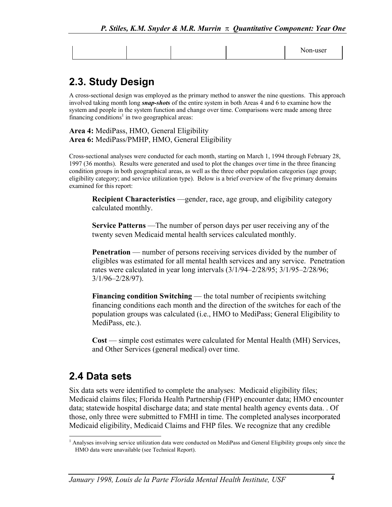# **2.3. Study Design**

A cross-sectional design was employed as the primary method to answer the nine questions. This approach involved taking month long *snap-shots* of the entire system in both Areas 4 and 6 to examine how the system and people in the system function and change over time. Comparisons were made among three financing conditions<sup>1</sup> in two geographical areas:

**Area 4:** MediPass, HMO, General Eligibility **Area 6:** MediPass/PMHP, HMO, General Eligibility

Cross-sectional analyses were conducted for each month, starting on March 1, 1994 through February 28, 1997 (36 months). Results were generated and used to plot the changes over time in the three financing condition groups in both geographical areas, as well as the three other population categories (age group; eligibility category; and service utilization type). Below is a brief overview of the five primary domains examined for this report:

**Recipient Characteristics** —gender, race, age group, and eligibility category calculated monthly.

**Service Patterns** —The number of person days per user receiving any of the twenty seven Medicaid mental health services calculated monthly.

**Penetration** — number of persons receiving services divided by the number of eligibles was estimated for all mental health services and any service. Penetration rates were calculated in year long intervals (3/1/94–2/28/95; 3/1/95–2/28/96; 3/1/96–2/28/97).

**Financing condition Switching** — the total number of recipients switching financing conditions each month and the direction of the switches for each of the population groups was calculated (i.e., HMO to MediPass; General Eligibility to MediPass, etc.).

**Cost** — simple cost estimates were calculated for Mental Health (MH) Services, and Other Services (general medical) over time.

## **2.4 Data sets**

Six data sets were identified to complete the analyses: Medicaid eligibility files; Medicaid claims files; Florida Health Partnership (FHP) encounter data; HMO encounter data; statewide hospital discharge data; and state mental health agency events data. . Of those, only three were submitted to FMHI in time. The completed analyses incorporated Medicaid eligibility, Medicaid Claims and FHP files. We recognize that any credible

<span id="page-4-0"></span> $\overline{\phantom{a}}$ <sup>1</sup> Analyses involving service utilization data were conducted on MediPass and General Eligibility groups only since the HMO data were unavailable (see Technical Report).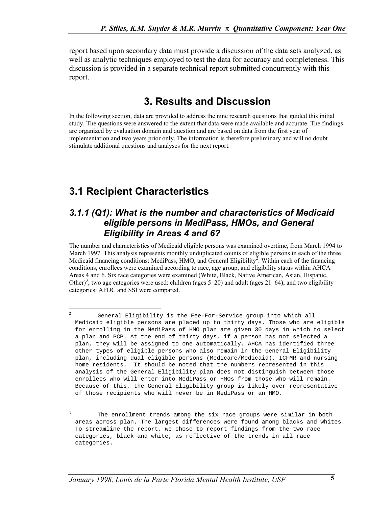report based upon secondary data must provide a discussion of the data sets analyzed, as well as analytic techniques employed to test the data for accuracy and completeness. This discussion is provided in a separate technical report submitted concurrently with this report.

## **3. Results and Discussion**

In the following section, data are provided to address the nine research questions that guided this initial study. The questions were answered to the extent that data were made available and accurate. The findings are organized by evaluation domain and question and are based on data from the first year of implementation and two years prior only. The information is therefore preliminary and will no doubt stimulate additional questions and analyses for the next report.

# **3.1 Recipient Characteristics**

### *3.1.1 (Q1): What is the number and characteristics of Medicaid eligible persons in MediPass, HMOs, and General Eligibility in Areas 4 and 6?*

The number and characteristics of Medicaid eligible persons was examined overtime, from March 1994 to March 1997. This analysis represents monthly unduplicated counts of eligible persons in each of the three Medicaid financing conditions: MediPass, HMO, and General Eligibility<sup>2</sup>. Within each of the financing conditions, enrollees were examined according to race, age group, and eligibility status within AHCA Areas 4 and 6. Six race categories were examined (White, Black, Native American, Asian, Hispanic, Other)<sup>3</sup>[;](#page-5-1) two age categories were used: children (ages  $5-20$ ) and adult (ages  $21-64$ ); and two eligibility categories: AFDC and SSI were compared.

<span id="page-5-0"></span> $\overline{2}$ <sup>2</sup> General Eligibility is the Fee-For-Service group into which all Medicaid eligible persons are placed up to thirty days. Those who are eligible for enrolling in the MediPass of HMO plan are given 30 days in which to select a plan and PCP. At the end of thirty days, if a person has not selected a plan, they will be assigned to one automatically. AHCA has identified three other types of eligible persons who also remain in the General Eligibility plan, including dual eligible persons (Medicare/Medicaid), ICFMR and nursing home residents. It should be noted that the numbers represented in this analysis of the General Eligibility plan does not distinguish between those enrollees who will enter into MediPass or HMOs from those who will remain. Because of this, the General Eligibility group is likely over representative of those recipients who will never be in MediPass or an HMO.

<span id="page-5-1"></span><sup>&</sup>lt;sup>3</sup> The enrollment trends among the six race groups were similar in both areas across plan. The largest differences were found among blacks and whites. To streamline the report, we chose to report findings from the two race categories, black and white, as reflective of the trends in all race categories.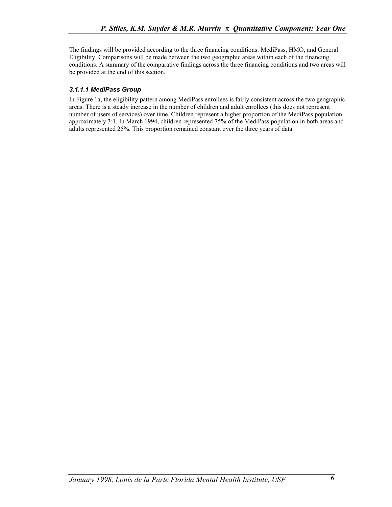The findings will be provided according to the three financing conditions: MediPass, HMO, and General Eligibility. Comparisons will be made between the two geographic areas within each of the financing conditions. A summary of the comparative findings across the three financing conditions and two areas will be provided at the end of this section.

### *3.1.1.1 MediPass Group*

In Figure 1a, the eligibility pattern among MediPass enrollees is fairly consistent across the two geographic areas. There is a steady increase in the number of children and adult enrollees (this does not represent number of users of services) over time. Children represent a higher proportion of the MediPass population, approximately 3:1. In March 1994, children represented 75% of the MediPass population in both areas and adults represented 25%. This proportion remained constant over the three years of data.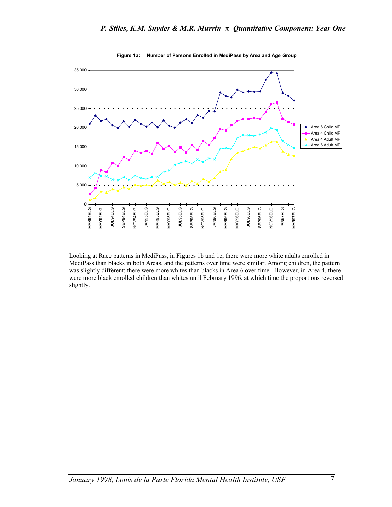

**Figure 1a: Number of Persons Enrolled in MediPass by Area and Age Group**

Looking at Race patterns in MediPass, in Figures 1b and 1c, there were more white adults enrolled in MediPass than blacks in both Areas, and the patterns over time were similar. Among children, the pattern was slightly different: there were more whites than blacks in Area 6 over time. However, in Area 4, there were more black enrolled children than whites until February 1996, at which time the proportions reversed slightly.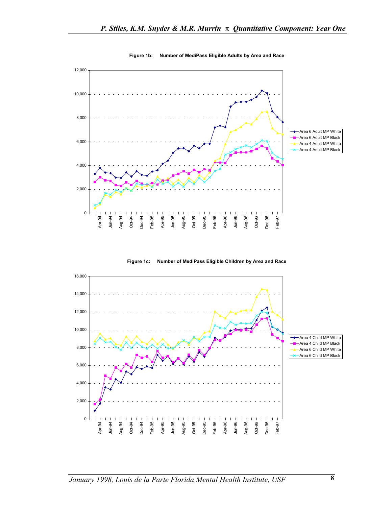

**Figure 1b: Number of MediPass Eligible Adults by Area and Race**



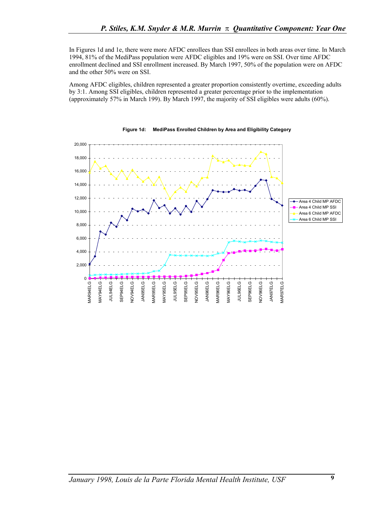In Figures 1d and 1e, there were more AFDC enrollees than SSI enrollees in both areas over time. In March 1994, 81% of the MediPass population were AFDC eligibles and 19% were on SSI. Over time AFDC enrollment declined and SSI enrollment increased. By March 1997, 50% of the population were on AFDC and the other 50% were on SSI.

Among AFDC eligibles, children represented a greater proportion consistently overtime, exceeding adults by 3:1. Among SSI eligibles, children represented a greater percentage prior to the implementation (approximately 57% in March 199). By March 1997, the majority of SSI eligibles were adults (60%).



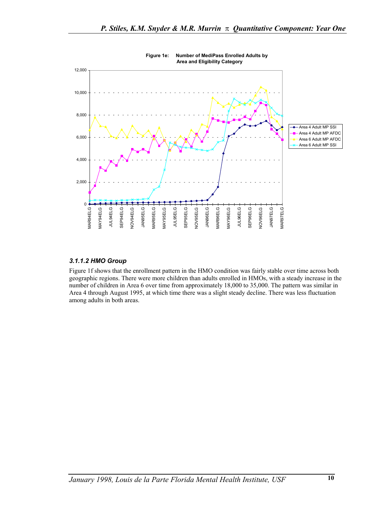

**Figure 1e: Number of MediPass Enrolled Adults by Area and Eligibility Category**

### *3.1.1.2 HMO Group*

Figure 1f shows that the enrollment pattern in the HMO condition was fairly stable over time across both geographic regions. There were more children than adults enrolled in HMOs, with a steady increase in the number of children in Area 6 over time from approximately 18,000 to 35,000. The pattern was similar in Area 4 through August 1995, at which time there was a slight steady decline. There was less fluctuation among adults in both areas.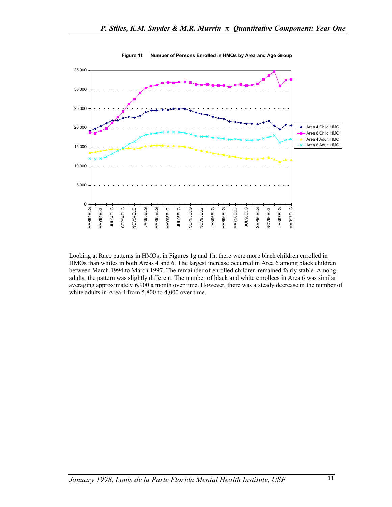

#### **Figure 1f: Number of Persons Enrolled in HMOs by Area and Age Group**

Looking at Race patterns in HMOs, in Figures 1g and 1h, there were more black children enrolled in HMOs than whites in both Areas 4 and 6. The largest increase occurred in Area 6 among black children between March 1994 to March 1997. The remainder of enrolled children remained fairly stable. Among adults, the pattern was slightly different. The number of black and white enrollees in Area 6 was similar averaging approximately 6,900 a month over time. However, there was a steady decrease in the number of white adults in Area 4 from 5,800 to 4,000 over time.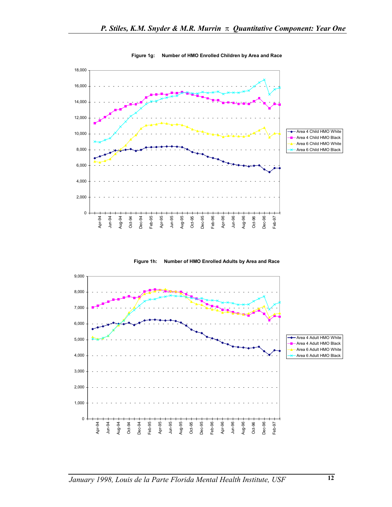

#### **Figure 1g: Number of HMO Enrolled Children by Area and Race**



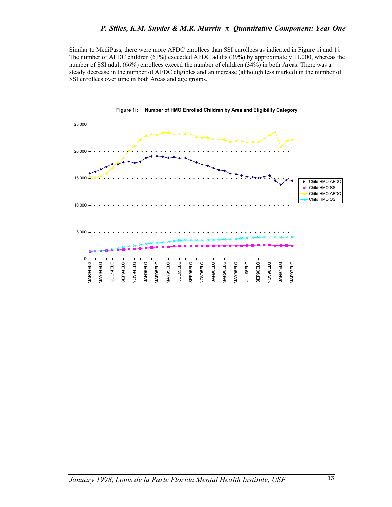Similar to MediPass, there were more AFDC enrollees than SSI enrollees as indicated in Figure 1i and 1j. The number of AFDC children (61%) exceeded AFDC adults (39%) by approximately 11,000, whereas the number of SSI adult (66%) enrollees exceed the number of children (34%) in both Areas. There was a steady decrease in the number of AFDC eligibles and an increase (although less marked) in the number of SSI enrollees over time in both Areas and age groups.



#### **Figure 1i: Number of HMO Enrolled Children by Area and Eligibility Category**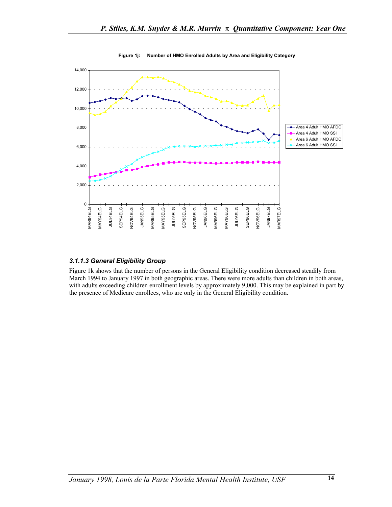

#### **Figure 1j: Number of HMO Enrolled Adults by Area and Eligibility Category**

### *3.1.1.3 General Eligibility Group*

Figure 1k shows that the number of persons in the General Eligibility condition decreased steadily from March 1994 to January 1997 in both geographic areas. There were more adults than children in both areas, with adults exceeding children enrollment levels by approximately 9,000. This may be explained in part by the presence of Medicare enrollees, who are only in the General Eligibility condition.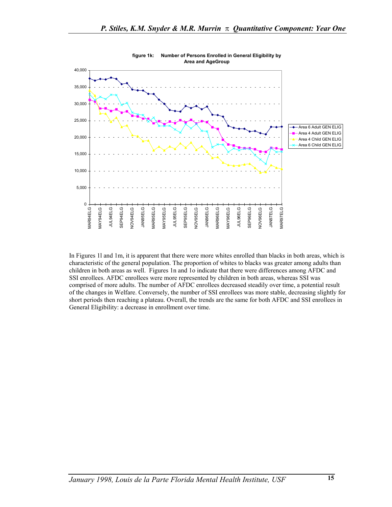

**figure 1k: Number of Persons Enrolled in General Eligibility by Area and AgeGroup**

In Figures 1l and 1m, it is apparent that there were more whites enrolled than blacks in both areas, which is characteristic of the general population. The proportion of whites to blacks was greater among adults than children in both areas as well. Figures 1n and 1o indicate that there were differences among AFDC and SSI enrollees. AFDC enrollees were more represented by children in both areas, whereas SSI was comprised of more adults. The number of AFDC enrollees decreased steadily over time, a potential result of the changes in Welfare. Conversely, the number of SSI enrollees was more stable, decreasing slightly for short periods then reaching a plateau. Overall, the trends are the same for both AFDC and SSI enrollees in General Eligibility: a decrease in enrollment over time.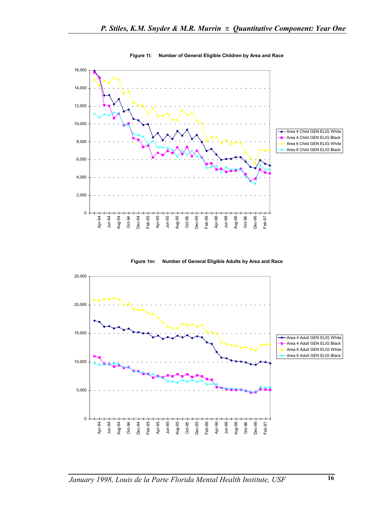

**Figure 1l: Number of General Eligible Children by Area and Race**

**Figure 1m: Number of General Eligible Adults by Area and Race**

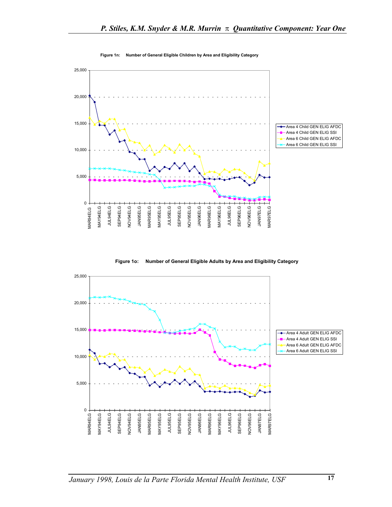

**Figure 1n: Number of General Eligible Children by Area and Eligibility Category**

**Figure 1o: Number of General Eligible Adults by Area and Eligibility Category**

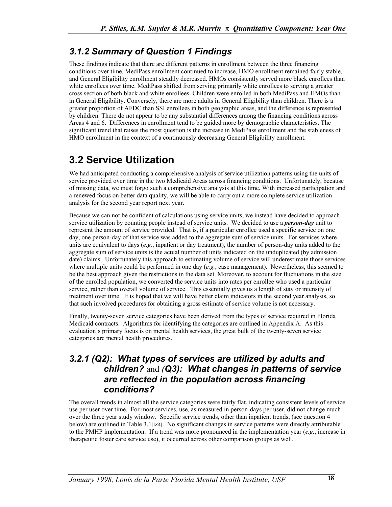## *3.1.2 Summary of Question 1 Findings*

These findings indicate that there are different patterns in enrollment between the three financing conditions over time. MediPass enrollment continued to increase, HMO enrollment remained fairly stable, and General Eligibility enrollment steadily decreased. HMOs consistently served more black enrollees than white enrollees over time. MediPass shifted from serving primarily white enrollees to serving a greater cross section of both black and white enrollees. Children were enrolled in both MediPass and HMOs than in General Eligibility. Conversely, there are more adults in General Eligibility than children. There is a greater proportion of AFDC than SSI enrollees in both geographic areas, and the difference is represented by children. There do not appear to be any substantial differences among the financing conditions across Areas 4 and 6. Differences in enrollment tend to be guided more by demographic characteristics. The significant trend that raises the most question is the increase in MediPass enrollment and the stableness of HMO enrollment in the context of a continuously decreasing General Eligibility enrollment.

# **3.2 Service Utilization**

We had anticipated conducting a comprehensive analysis of service utilization patterns using the units of service provided over time in the two Medicaid Areas across financing conditions. Unfortunately, because of missing data, we must forgo such a comprehensive analysis at this time. With increased participation and a renewed focus on better data quality, we will be able to carry out a more complete service utilization analysis for the second year report next year.

Because we can not be confident of calculations using service units, we instead have decided to approach service utilization by counting people instead of service units. We decided to use a *person-day* unit to represent the amount of service provided. That is, if a particular enrollee used a specific service on one day, one person-day of that service was added to the aggregate sum of service units. For services where units are equivalent to days (*e.g.*, inpatient or day treatment), the number of person-day units added to the aggregate sum of service units is the actual number of units indicated on the unduplicated (by admission date) claims. Unfortunately this approach to estimating volume of service will underestimate those services where multiple units could be performed in one day (*e.g.*, case management). Nevertheless, this seemed to be the best approach given the restrictions in the data set. Moreover, to account for fluctuations in the size of the enrolled population, we converted the service units into rates per enrollee who used a particular service, rather than overall volume of service. This essentially gives us a length of stay or intensity of treatment over time. It is hoped that we will have better claim indicators in the second year analysis, so that such involved procedures for obtaining a gross estimate of service volume is not necessary.

Finally, twenty-seven service categories have been derived from the types of service required in Florida Medicaid contracts. Algorithms for identifying the categories are outlined in Appendix A. As this evaluation's primary focus is on mental health services, the great bulk of the twenty-seven service categories are mental health procedures.

### *3.2.1 (Q2): What types of services are utilized by adults and children?* and *(Q3): What changes in patterns of service are reflected in the population across financing conditions?*

The overall trends in almost all the service categories were fairly flat, indicating consistent levels of service use per user over time. For most services, use, as measured in person-days per user, did not change much over the three year study window. Specific service trends, other than inpatient trends, (see question 4 below) are outlined in Table 3.1[IZ4]. No significant changes in service patterns were directly attributable to the PMHP implementation. If a trend was more pronounced in the implementation year (*e.g.*, increase in therapeutic foster care service use), it occurred across other comparison groups as well.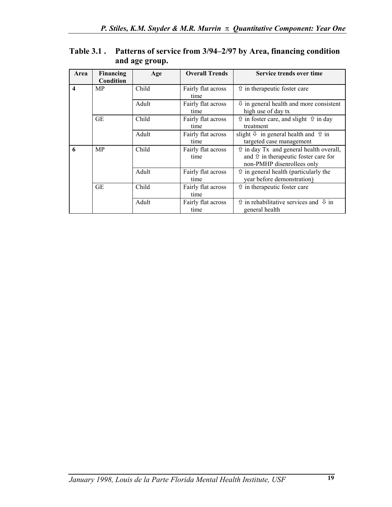| Area                    | Financing<br>Condition | Age   | <b>Overall Trends</b>      | Service trends over time                                                                                                       |
|-------------------------|------------------------|-------|----------------------------|--------------------------------------------------------------------------------------------------------------------------------|
| $\overline{\mathbf{4}}$ | <b>MP</b>              | Child | Fairly flat across<br>time | $\hat{U}$ in the rapeutic foster care                                                                                          |
|                         |                        | Adult | Fairly flat across<br>time | $\theta$ in general health and more consistent<br>high use of day tx                                                           |
|                         | GE                     | Child | Fairly flat across<br>time | $\hat{U}$ in foster care, and slight $\hat{U}$ in day<br>treatment                                                             |
|                         |                        | Adult | Fairly flat across<br>time | slight $\theta$ in general health and $\hat{\theta}$ in<br>targeted case management                                            |
| 6                       | <b>MP</b>              | Child | Fairly flat across<br>time | $\hat{U}$ in day Tx and general health overall,<br>and $\hat{U}$ in the rapeutic foster care for<br>non-PMHP disenrollees only |
|                         |                        | Adult | Fairly flat across<br>time | $\hat{U}$ in general health (particularly the<br>year before demonstration)                                                    |
|                         | <b>GE</b>              | Child | Fairly flat across<br>time | $\hat{U}$ in the rapeutic foster care                                                                                          |
|                         |                        | Adult | Fairly flat across<br>time | $\hat{U}$ in rehabilitative services and $\hat{U}$ in<br>general health                                                        |

### **Table 3.1 . Patterns of service from 3/94–2/97 by Area, financing condition and age group.**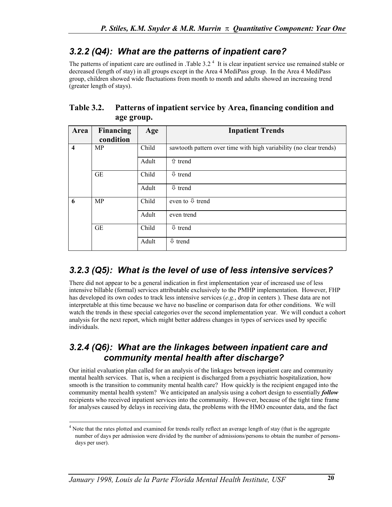## *3.2.2 (Q4): What are the patterns of inpatient care?*

Thepatterns of inpatient care are outlined in . Table  $3.2<sup>4</sup>$  It is clear inpatient service use remained stable or decreased (length of stay) in all groups except in the Area 4 MediPass group. In the Area 4 MediPass group, children showed wide fluctuations from month to month and adults showed an increasing trend (greater length of stays).

### **Table 3.2. Patterns of inpatient service by Area, financing condition and age group.**

| Area                    | <b>Financing</b><br>condition | Age   | <b>Inpatient Trends</b>                                            |
|-------------------------|-------------------------------|-------|--------------------------------------------------------------------|
| $\overline{\mathbf{4}}$ | MP                            | Child | sawtooth pattern over time with high variability (no clear trends) |
|                         |                               | Adult | <b>↑</b> trend                                                     |
|                         | <b>GE</b>                     | Child | $\overline{\psi}$ trend                                            |
|                         |                               | Adult | $\downarrow$ trend                                                 |
| 6                       | <b>MP</b>                     | Child | even to $\sqrt{1}$ trend                                           |
|                         |                               | Adult | even trend                                                         |
|                         | <b>GE</b>                     | Child | $\downarrow$ trend                                                 |
|                         |                               | Adult | $\sqrt{2}$ trend                                                   |

## *3.2.3 (Q5): What is the level of use of less intensive services?*

There did not appear to be a general indication in first implementation year of increased use of less intensive billable (formal) services attributable exclusively to the PMHP implementation. However, FHP has developed its own codes to track less intensive services (*e.g.*, drop in centers ). These data are not interpretable at this time because we have no baseline or comparison data for other conditions. We will watch the trends in these special categories over the second implementation year. We will conduct a cohort analysis for the next report, which might better address changes in types of services used by specific individuals.

### *3.2.4 (Q6): What are the linkages between inpatient care and community mental health after discharge?*

Our initial evaluation plan called for an analysis of the linkages between inpatient care and community mental health services. That is, when a recipient is discharged from a psychiatric hospitalization, how smooth is the transition to community mental health care? How quickly is the recipient engaged into the community mental health system? We anticipated an analysis using a cohort design to essentially *follow* recipients who received inpatient services into the community. However, because of the tight time frame for analyses caused by delays in receiving data, the problems with the HMO encounter data, and the fact

 $\overline{\phantom{a}}$ 

<span id="page-20-0"></span><sup>&</sup>lt;sup>4</sup> Note that the rates plotted and examined for trends really reflect an average length of stay (that is the aggregate number of days per admission were divided by the number of admissions/persons to obtain the number of personsdays per user).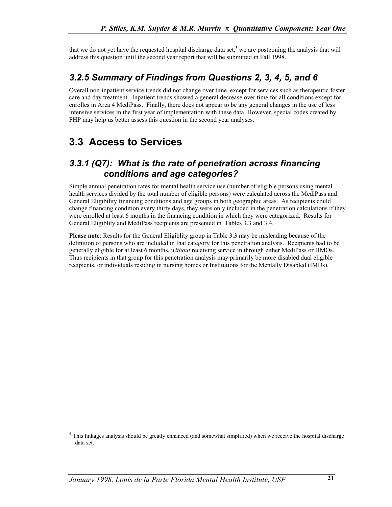that we do not yet have the requested hospital discharge data set,<sup>[5](#page-21-0)</sup> we are postponing the analysis that will address this question until the second year report that will be submitted in Fall 1998.

## *3.2.5 Summary of Findings from Questions 2, 3, 4, 5, and 6*

Overall non-inpatient service trends did not change over time, except for services such as therapeutic foster care and day treatment. Inpatient trends showed a general decrease over time for all conditions except for enrolles in Area 4 MediPass. Finally, there does not appear to be any general changes in the use of less intensive services in the first year of implementation with these data. However, special codes created by FHP may help us better assess this question in the second year analyses.

# **3.3 Access to Services**

l

### *3.3.1 (Q7): What is the rate of penetration across financing conditions and age categories?*

Simple annual penetration rates for mental health service use (number of eligible persons using mental health services divided by the total number of eligible persons) were calculated across the MediPass and General Eligibility financing conditions and age groups in both geographic areas. As recipients could change financing condition every thirty days, they were only included in the penetration calculations if they were enrolled at least 6 months in the financing condition in which they were categorized. Results for General Eligiblity and MediPass recipients are presented in Tables 3.3 and 3.4.

**Please note**: Results for the General Eligiblity group in Table 3.3 may be misleading because of the definition of persons who are included in that category for this penetration analysis. Recipients had to be generally eligible for at least 6 months, *without* receiving service in through either MediPass or HMOs. Thus recipients in that group for this penetration analysis may primarily be more disabled dual eligible recipients, or individuals residing in nursing homes or Institutions for the Mentally Disabled (IMDs).

<span id="page-21-0"></span> $<sup>5</sup>$  This linkages analysis should be greatly enhanced (and somewhat simplified) when we receive the hospital discharge</sup> data set.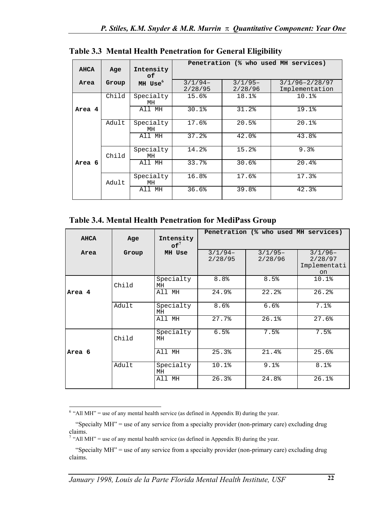|             |       |                  |                      |                      | Penetration (% who used MH services) |
|-------------|-------|------------------|----------------------|----------------------|--------------------------------------|
| <b>AHCA</b> | Age   | Intensity<br>of. |                      |                      |                                      |
| Area        | Group | $MH$ Use $^6$    | $3/1/94-$<br>2/28/95 | $3/1/95-$<br>2/28/96 | $3/1/96 - 2/28/97$<br>Implementation |
|             | Child | Specialty<br>МH  | 15.6%                | 18.1%                | 10.1%                                |
| Area 4      |       | All MH           | 30.1%                | 31.2%                | 19.1%                                |
|             | Adult | Specialty<br>MH  | 17.6%                | 20.5%                | 20.1%                                |
|             |       | All MH           | 37.2%                | 42.0%                | 43.8%                                |
|             | Child | Specialty<br>МH  | 14.2%                | 15.2%                | 9.3%                                 |
| Area 6      |       | All MH           | 33.7%                | 30.6%                | 20.4%                                |
|             | Adult | Specialty<br>МH  | 16.8%                | 17.6%                | 17.3%                                |
|             |       | All MH           | 36.6%                | 39.8%                | 42.3%                                |

**Table 3.3 Mental Health Penetration for General Eligibility** 

**Table 3.4. Mental Health Penetration for MediPass Group** 

|             |       |                              |                      | Penetration (% who used MH services) |                                                       |
|-------------|-------|------------------------------|----------------------|--------------------------------------|-------------------------------------------------------|
| <b>AHCA</b> | Age   | Intensity<br>$\mathsf{of}^7$ |                      |                                      |                                                       |
| Area        | Group | MH Use                       | $3/1/94-$<br>2/28/95 | $3/1/95-$<br>2/28/96                 | $3/1/96-$<br>2/28/97<br>Implementati<br><sub>on</sub> |
|             | Child | Specialty<br>МH              | 8.8 <sup>°</sup>     | 8.5%                                 | 10.1%                                                 |
| Area 4      |       | All MH                       | 24.9%                | 22.2%                                | 26.2%                                                 |
|             | Adult | Specialty<br>МH              | 8.6%                 | 6.6%                                 | 7.1%                                                  |
|             |       | All MH                       | 27.7%                | 26.1%                                | 27.6%                                                 |
|             | Child | Specialty<br>МH              | 6.5%                 | 7.5%                                 | 7.5%                                                  |
| Area 6      |       | All MH                       | 25.3%                | 21.4%                                | 25.6%                                                 |
|             | Adult | Specialty<br>МH              | 10.1%                | 9.1%                                 | 8.1%                                                  |
|             |       | All MH                       | 26.3%                | 24.8%                                | 26.1%                                                 |

<span id="page-22-0"></span> $\overline{\phantom{a}}$  $6$  "All MH" = use of any mental health service (as defined in Appendix B) during the year.

 <sup>&</sup>quot;Specialty MH" = use of any service from a specialty provider (non-primary care) excluding drug claims.<br><sup>7</sup> "All MH" = use of any mental health service (as defined in Appendix B) during the year.

<span id="page-22-1"></span>

 <sup>&</sup>quot;Specialty MH" = use of any service from a specialty provider (non-primary care) excluding drug claims.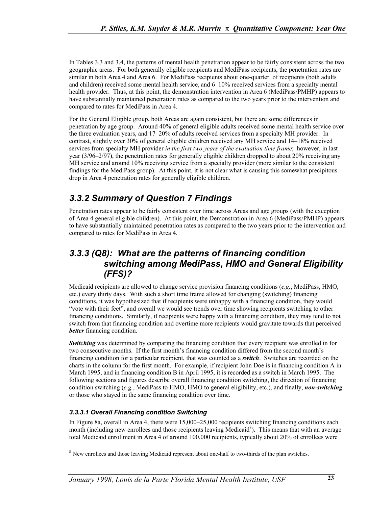In Tables 3.3 and 3.4, the patterns of mental health penetration appear to be fairly consistent across the two geographic areas. For both generally eligible recipients and MediPass recipients, the penetration rates are similar in both Area 4 and Area 6. For MediPass recipients about one-quarter of recipients (both adults and children) received some mental health service, and 6–10% received services from a specialty mental health provider. Thus, at this point, the demonstration intervention in Area 6 (MediPass/PMHP) appears to have substantially maintained penetration rates as compared to the two years prior to the intervention and compared to rates for MediPass in Area 4.

For the General Eligible group, both Areas are again consistent, but there are some differences in penetration by age group. Around 40% of general eligible adults received some mental health service over the three evaluation years, and 17–20% of adults received services from a specialty MH provider. In contrast, slightly over 30% of general eligible children received any MH service and 14–18% received services from specialty MH provider *in the first two years of the evaluation time frame*; however, in last year (3/96–2/97), the penetration rates for generally eligible children dropped to about 20% receiving any MH service and around 10% receiving service from a specialty provider (more similar to the consistent findings for the MediPass group). At this point, it is not clear what is causing this somewhat precipitous drop in Area 4 penetration rates for generally eligible children.

## *3.3.2 Summary of Question 7 Findings*

Penetration rates appear to be fairly consistent over time across Areas and age groups (with the exception of Area 4 general eligible children). At this point, the Demonstration in Area 6 (MediPass/PMHP) appears to have substantially maintained penetration rates as compared to the two years prior to the intervention and compared to rates for MediPass in Area 4.

## *3.3.3 (Q8): What are the patterns of financing condition switching among MediPass, HMO and General Eligibility (FFS)?*

Medicaid recipients are allowed to change service provision financing conditions (*e.g.*, MediPass, HMO, etc.) every thirty days. With such a short time frame allowed for changing (switching) financing conditions, it was hypothesized that if recipients were unhappy with a financing condition, they would "vote with their feet", and overall we would see trends over time showing recipients switching to other financing conditions. Similarly, if recipients were happy with a financing condition, they may tend to not switch from that financing condition and overtime more recipients would gravitate towards that perceived *better* financing condition.

*Switching* was determined by comparing the financing condition that every recipient was enrolled in for two consecutive months. If the first month's financing condition differed from the second month's financing condition for a particular recipient, that was counted as a *switch*. Switches are recorded on the charts in the column for the first month. For example, if recipient John Doe is in financing condition A in March 1995, and in financing condition B in April 1995, it is recorded as a switch in March 1995. The following sections and figures describe overall financing condition switching, the direction of financing condition switching (*e.g.*, MediPass to HMO, HMO to general eligibility, etc.), and finally, *non-switching* or those who stayed in the same financing condition over time.

### *3.3.3.1 Overall Financing condition Switching*

-

In Figure 8a, overall in Area 4, there were 15,000–25,000 recipients switching financing conditions each month (including new enrollees and those recipients leaving Medicaid<sup>8</sup>). This means that with an average total Medicaid enrollment in Area 4 of around 100,000 recipients, typically about 20% of enrollees were

<span id="page-23-0"></span><sup>&</sup>lt;sup>8</sup> New enrollees and those leaving Medicaid represent about one-half to two-thirds of the plan switches.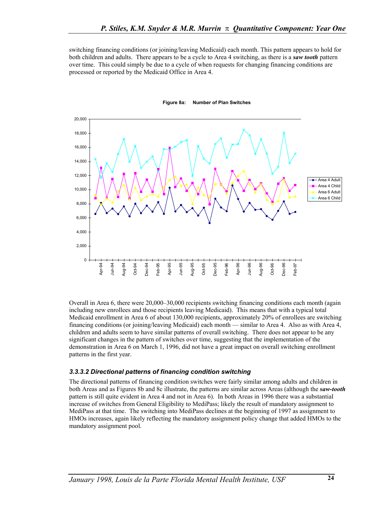switching financing conditions (or joining/leaving Medicaid) each month. This pattern appears to hold for both children and adults. There appears to be a cycle to Area 4 switching, as there is a *saw tooth* pattern over time. This could simply be due to a cycle of when requests for changing financing conditions are processed or reported by the Medicaid Office in Area 4.



#### **Figure 8a: Number of Plan Switches**

Overall in Area 6, there were 20,000–30,000 recipients switching financing conditions each month (again including new enrollees and those recipients leaving Medicaid). This means that with a typical total Medicaid enrollment in Area 6 of about 130,000 recipients, approximately 20% of enrollees are switching financing conditions (or joining/leaving Medicaid) each month — similar to Area 4. Also as with Area 4, children and adults seem to have similar patterns of overall switching. There does not appear to be any significant changes in the pattern of switches over time, suggesting that the implementation of the demonstration in Area 6 on March 1, 1996, did not have a great impact on overall switching enrollment patterns in the first year.

#### *3.3.3.2 Directional patterns of financing condition switching*

The directional patterns of financing condition switches were fairly similar among adults and children in both Areas and as Figures 8b and 8c illustrate, the patterns are similar across Areas (although the *saw-tooth* pattern is still quite evident in Area 4 and not in Area 6). In both Areas in 1996 there was a substantial increase of switches from General Eligibility to MediPass; likely the result of mandatory assignment to MediPass at that time. The switching into MediPass declines at the beginning of 1997 as assignment to HMOs increases, again likely reflecting the mandatory assignment policy change that added HMOs to the mandatory assignment pool.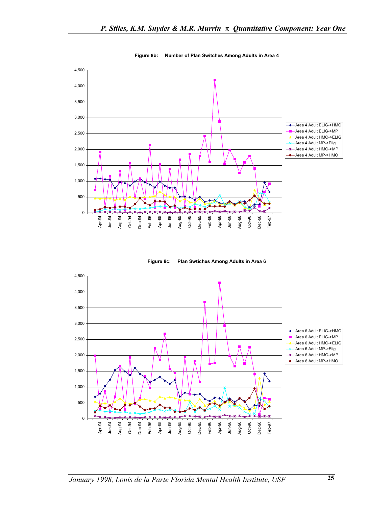

**Figure 8b: Number of Plan Switches Among Adults in Area 4**

**Figure 8c: Plan Swtiches Among Adults in Area 6**

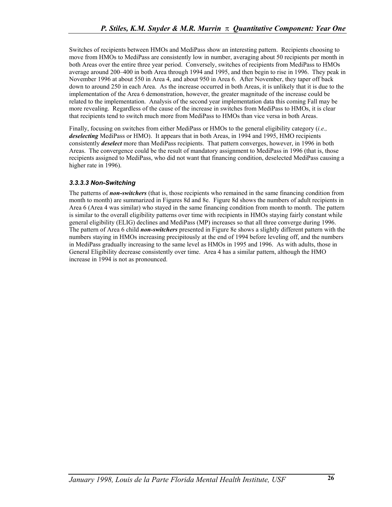Switches of recipients between HMOs and MediPass show an interesting pattern. Recipients choosing to move from HMOs to MediPass are consistently low in number, averaging about 50 recipients per month in both Areas over the entire three year period. Conversely, switches of recipients from MediPass to HMOs average around 200–400 in both Area through 1994 and 1995, and then begin to rise in 1996. They peak in November 1996 at about 550 in Area 4, and about 950 in Area 6. After November, they taper off back down to around 250 in each Area. As the increase occurred in both Areas, it is unlikely that it is due to the implementation of the Area 6 demonstration, however, the greater magnitude of the increase could be related to the implementation. Analysis of the second year implementation data this coming Fall may be more revealing. Regardless of the cause of the increase in switches from MediPass to HMOs, it is clear that recipients tend to switch much more from MediPass to HMOs than vice versa in both Areas.

Finally, focusing on switches from either MediPass or HMOs to the general eligibility category (*i.e., deselecting* MediPass or HMO). It appears that in both Areas, in 1994 and 1995, HMO recipients consistently *deselect* more than MediPass recipients. That pattern converges, however, in 1996 in both Areas. The convergence could be the result of mandatory assignment to MediPass in 1996 (that is, those recipients assigned to MediPass, who did not want that financing condition, deselected MediPass causing a higher rate in 1996).

### *3.3.3.3 Non-Switching*

The patterns of *non-switchers* (that is, those recipients who remained in the same financing condition from month to month) are summarized in Figures 8d and 8e. Figure 8d shows the numbers of adult recipients in Area 6 (Area 4 was similar) who stayed in the same financing condition from month to month. The pattern is similar to the overall eligibility patterns over time with recipients in HMOs staying fairly constant while general eligibility (ELIG) declines and MediPass (MP) increases so that all three converge during 1996. The pattern of Area 6 child *non-switchers* presented in Figure 8e shows a slightly different pattern with the numbers staying in HMOs increasing precipitously at the end of 1994 before leveling off, and the numbers in MediPass gradually increasing to the same level as HMOs in 1995 and 1996. As with adults, those in General Eligibility decrease consistently over time. Area 4 has a similar pattern, although the HMO increase in 1994 is not as pronounced.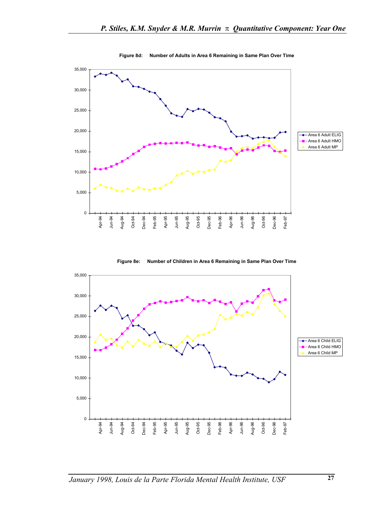

**Figure 8d: Number of Adults in Area 6 Remaining in Same Plan Over Time**

**Figure 8e: Number of Children in Area 6 Remaining in Same Plan Over Time**

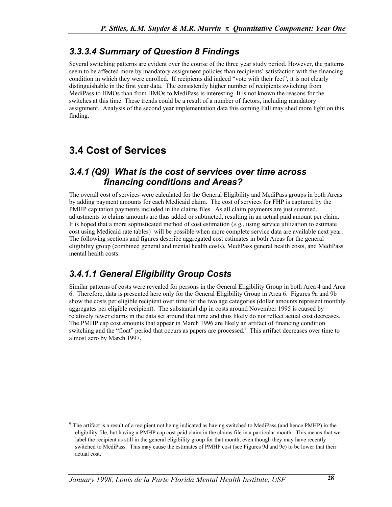## *3.3.3.4 Summary of Question 8 Findings*

Several switching patterns are evident over the course of the three year study period. However, the patterns seem to be affected more by mandatory assignment policies than recipients' satisfaction with the financing condition in which they were enrolled. If recipients did indeed "vote with their feet", it is not clearly distinguishable in the first year data. The consistently higher number of recipients switching from MediPass to HMOs than from HMOs to MediPass is interesting. It is not known the reasons for the switches at this time. These trends could be a result of a number of factors, including mandatory assignment. Analysis of the second year implementation data this coming Fall may shed more light on this finding.

# **3.4 Cost of Services**

### *3.4.1 (Q9) What is the cost of services over time across financing conditions and Areas?*

The overall cost of services were calculated for the General Eligibility and MediPass groups in both Areas by adding payment amounts for each Medicaid claim. The cost of services for FHP is captured by the PMHP capitation payments included in the claims files. As all claim payments are just summed, adjustments to claims amounts are thus added or subtracted, resulting in an actual paid amount per claim. It is hoped that a more sophisticated method of cost estimation (*e.g.*, using service utilization to estimate cost using Medicaid rate tables) will be possible when more complete service data are available next year. The following sections and figures describe aggregated cost estimates in both Areas for the general eligibility group (combined general and mental health costs), MediPass general health costs, and MediPass mental health costs.

## *3.4.1.1 General Eligibility Group Costs*

Similar patterns of costs were revealed for persons in the General Eligibility Group in both Area 4 and Area 6. Therefore, data is presented here only for the General Eligibility Group in Area 6. Figures 9a and 9b show the costs per eligible recipient over time for the two age categories (dollar amounts represent monthly aggregates per eligible recipient). The substantial dip in costs around November 1995 is caused by relatively fewer claims in the data set around that time and thus likely do not reflect actual cost decreases. The PMHP cap cost amounts that appear in March 1996 are likely an artifact of financing condition switching and the "float" period that occurs as papers are processed.<sup>9</sup> This artifact decreases over time to almost zero by March 1997.

<span id="page-28-0"></span><sup>-</sup>The artifact is a result of a recipient not being indicated as having switched to MediPass (and hence PMHP) in the eligibility file, but having a PMHP cap cost paid claim in the claims file in a particular month. This means that we label the recipient as still in the general eligibility group for that month, even though they may have recently switched to MediPass. This may cause the estimates of PMHP cost (see Figures 9d and 9e) to be lower that their actual cost.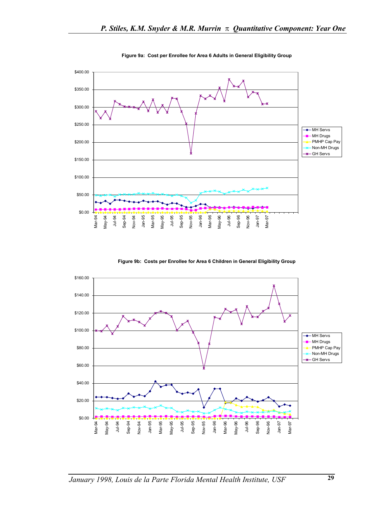

**Figure 9a: Cost per Enrollee for Area 6 Adults in General Eligibility Group**

**Figure 9b: Costs per Enrollee for Area 6 Children in General Eligibility Group**

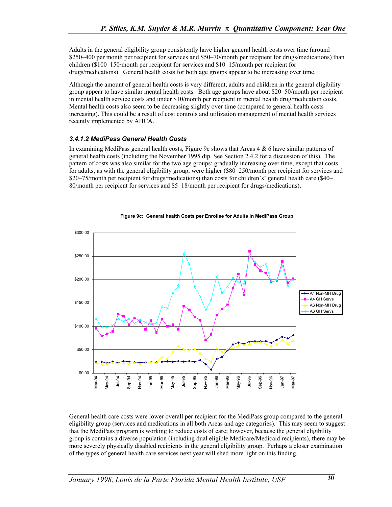Adults in the general eligibility group consistently have higher general health costs over time (around \$250–400 per month per recipient for services and \$50–70/month per recipient for drugs/medications) than children (\$100–150/month per recipient for services and \$10–15/month per recipient for drugs/medications). General health costs for both age groups appear to be increasing over time.

Although the amount of general health costs is very different, adults and children in the general eligibility group appear to have similar mental health costs. Both age groups have about \$20–50/month per recipient in mental health service costs and under \$10/month per recipient in mental health drug/medication costs. Mental health costs also seem to be decreasing slightly over time (compared to general health costs increasing). This could be a result of cost controls and utilization management of mental health services recently implemented by AHCA.

### *3.4.1.2 MediPass General Health Costs*

In examining MediPass general health costs, Figure 9c shows that Areas 4 & 6 have similar patterns of general health costs (including the November 1995 dip. See Section 2.4.2 for a discussion of this). The pattern of costs was also similar for the two age groups: gradually increasing over time, except that costs for adults, as with the general eligibility group, were higher (\$80–250/month per recipient for services and \$20–75/month per recipient for drugs/medications) than costs for children's' general health care (\$40– 80/month per recipient for services and \$5–18/month per recipient for drugs/medications).



#### **Figure 9c: General health Costs per Enrollee for Adults in MediPass Group**

General health care costs were lower overall per recipient for the MediPass group compared to the general eligibility group (services and medications in all both Areas and age categories). This may seem to suggest that the MediPass program is working to reduce costs of care; however, because the general eligibility group is contains a diverse population (including dual eligible Medicare/Medicaid recipients), there may be more severely physically disabled recipients in the general eligibility group. Perhaps a closer examination of the types of general health care services next year will shed more light on this finding.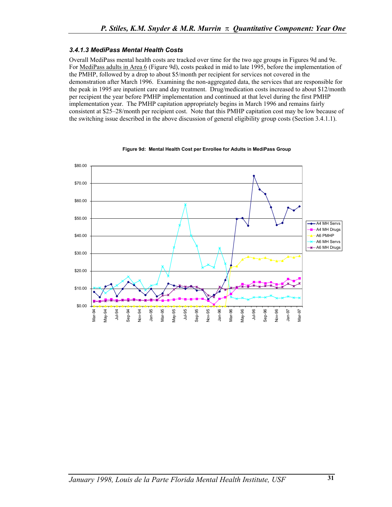### *3.4.1.3 MediPass Mental Health Costs*

Overall MediPass mental health costs are tracked over time for the two age groups in Figures 9d and 9e. For MediPass adults in Area 6 (Figure 9d), costs peaked in mid to late 1995, before the implementation of the PMHP, followed by a drop to about \$5/month per recipient for services not covered in the demonstration after March 1996. Examining the non-aggregated data, the services that are responsible for the peak in 1995 are inpatient care and day treatment. Drug/medication costs increased to about \$12/month per recipient the year before PMHP implementation and continued at that level during the first PMHP implementation year. The PMHP capitation appropriately begins in March 1996 and remains fairly consistent at \$25–28/month per recipient cost. Note that this PMHP capitation cost may be low because of the switching issue described in the above discussion of general eligibility group costs (Section 3.4.1.1).



#### **Figure 9d: Mental Health Cost per Enrollee for Adults in MediPass Group**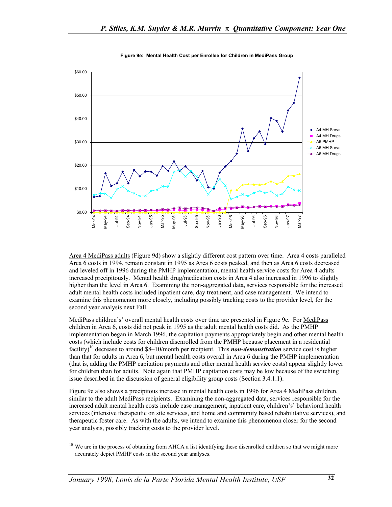

**Figure 9e: Mental Health Cost per Enrollee for Children in MediPass Group**

Area 4 MediPass adults (Figure 9d) show a slightly different cost pattern over time. Area 4 costs paralleled Area 6 costs in 1994, remain constant in 1995 as Area 6 costs peaked, and then as Area 6 costs decreased and leveled off in 1996 during the PMHP implementation, mental health service costs for Area 4 adults increased precipitously. Mental health drug/medication costs in Area 4 also increased in 1996 to slightly higher than the level in Area 6. Examining the non-aggregated data, services responsible for the increased adult mental health costs included inpatient care, day treatment, and case management. We intend to examine this phenomenon more closely, including possibly tracking costs to the provider level, for the second year analysis next Fall.

MediPass children's' overall mental health costs over time are presented in Figure 9e. For MediPass children in Area 6, costs did not peak in 1995 as the adult mental health costs did. As the PMHP implementation began in March 1996, the capitation payments appropriately begin and other mental health costs (which include costs for children disenrolled from the PMHP because placement in a residential facility)[10 d](#page-32-0)ecrease to around \$8–10/month per recipient. This *non-demonstration* service cost is higher than that for adults in Area 6, but mental health costs overall in Area 6 during the PMHP implementation (that is, adding the PMHP capitation payments and other mental health service costs) appear slightly lower for children than for adults. Note again that PMHP capitation costs may be low because of the switching issue described in the discussion of general eligibility group costs (Section 3.4.1.1).

Figure 9e also shows a precipitous increase in mental health costs in 1996 for Area 4 MediPass children, similar to the adult MediPass recipients. Examining the non-aggregated data, services responsible for the increased adult mental health costs include case management, inpatient care, children's' behavioral health services (intensive therapeutic on site services, and home and community based rehabilitative services), and therapeutic foster care. As with the adults, we intend to examine this phenomenon closer for the second year analysis, possibly tracking costs to the provider level.

 $\overline{\phantom{a}}$ 

<span id="page-32-0"></span><sup>&</sup>lt;sup>10</sup> We are in the process of obtaining from AHCA a list identifying these disenrolled children so that we might more accurately depict PMHP costs in the second year analyses.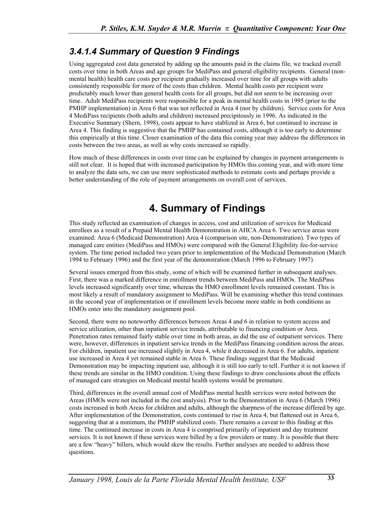## *3.4.1.4 Summary of Question 9 Findings*

Using aggregated cost data generated by adding up the amounts paid in the claims file, we tracked overall costs over time in both Areas and age groups for MediPass and general eligibility recipients. General (nonmental health) health care costs per recipient gradually increased over time for all groups with adults consistently responsible for more of the costs than children. Mental health costs per recipient were predictably much lower than general health costs for all groups, but did not seem to be increasing over time. Adult MediPass recipients were responsible for a peak in mental health costs in 1995 (prior to the PMHP implementation) in Area 6 that was not reflected in Area 4 (nor by children). Service costs for Area 4 MediPass recipients (both adults and children) increased precipitously in 1996. As indicated in the Executive Summary (Shern, 1998), costs appear to have stablized in Area 6, but continued to increase in Area 4. This finding is suggestive that the PMHP has contained costs, although it is too early to determine this empirically at this time. Closer examination of the data this coming year may address the differences in costs between the two areas, as well as why costs increased so rapidly.

How much of these differences in costs over time can be explained by changes in payment arrangements is still not clear. It is hoped that with increased participation by HMOs this coming year, and with more time to analyze the data sets, we can use more sophisticated methods to estimate costs and perhaps provide a better understanding of the role of payment arrangements on overall cost of services.

# **4. Summary of Findings**

This study reflected an examination of changes in access, cost and utilization of services for Medicaid enrollees as a result of a Prepaid Mental Health Demonstration in AHCA Area 6. Two service areas were examined: Area 6 (Medicaid Demonstration) Area 4 (comparison site, non-Demonstration). Two types of managed care entities (MediPass and HMOs) were compared with the General Eligibility fee-for-service system. The time period included two years prior to implementation of the Medicaid Demonstration (March 1994 to February 1996) and the first year of the demonstration (March 1996 to February 1997).

Several issues emerged from this study, some of which will be examined further in subsequent analyses. First, there was a marked difference in enrollment trends between MediPass and HMOs. The MediPass levels increased significantly over time, whereas the HMO enrollment levels remained constant. This is most likely a result of mandatory assignment to MediPass. Will be examining whether this trend continues in the second year of implementation or if enrollment levels become more stable in both conditions as HMOs enter into the mandatory assignment pool.

Second, there were no noteworthy differences between Areas 4 and 6 in relation to system access and service utilization, other than inpatient service trends, attributable to financing condition or Area. Penetration rates remained fairly stable over time in both areas, as did the use of outpatient services. There were, however, differences in inpatient service trends in the MediPass financing condition across the areas. For children, inpatient use increased slightly in Area 4, while it decreased in Area 6. For adults, inpatient use increased in Area 4 yet remained stable in Area 6. These findings suggest that the Medicaid Demonstration may be impacting inpatient use, although it is still too early to tell. Further it is not known if these trends are similar in the HMO condition. Using these findings to draw conclusions about the effects of managed care strategies on Medicaid mental health systems would be premature.

Third, differences in the overall annual cost of MediPass mental health services were noted between the Areas (HMOs were not included in the cost analysis). Prior to the Demonstration in Area 6 (March 1996) costs increased in both Areas for children and adults, although the sharpness of the increase differed by age. After implementation of the Demonstration, costs continued to rise in Area 4, but flattened out in Area 6, suggesting that at a minimum, the PMHP stabilized costs. There remains a caveat to this finding at this time. The continued increase in costs in Area 4 is comprised primarily of inpatient and day treatment services. It is not known if these services were billed by a few providers or many. It is possible that there are a few "heavy" billers, which would skew the results. Further analyses are needed to address these questions.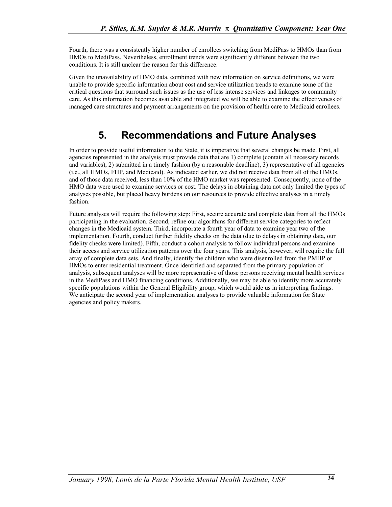Fourth, there was a consistently higher number of enrollees switching from MediPass to HMOs than from HMOs to MediPass. Nevertheless, enrollment trends were significantly different between the two conditions. It is still unclear the reason for this difference.

Given the unavailability of HMO data, combined with new information on service definitions, we were unable to provide specific information about cost and service utilization trends to examine some of the critical questions that surround such issues as the use of less intense services and linkages to community care. As this information becomes available and integrated we will be able to examine the effectiveness of managed care structures and payment arrangements on the provision of health care to Medicaid enrollees.

# **5. Recommendations and Future Analyses**

In order to provide useful information to the State, it is imperative that several changes be made. First, all agencies represented in the analysis must provide data that are 1) complete (contain all necessary records and variables), 2) submitted in a timely fashion (by a reasonable deadline), 3) representative of all agencies (i.e., all HMOs, FHP, and Medicaid). As indicated earlier, we did not receive data from all of the HMOs, and of those data received, less than 10% of the HMO market was represented. Consequently, none of the HMO data were used to examine services or cost. The delays in obtaining data not only limited the types of analyses possible, but placed heavy burdens on our resources to provide effective analyses in a timely fashion.

Future analyses will require the following step: First, secure accurate and complete data from all the HMOs participating in the evaluation. Second, refine our algorithms for different service categories to reflect changes in the Medicaid system. Third, incorporate a fourth year of data to examine year two of the implementation. Fourth, conduct further fidelity checks on the data (due to delays in obtaining data, our fidelity checks were limited). Fifth, conduct a cohort analysis to follow individual persons and examine their access and service utilization patterns over the four years. This analysis, however, will require the full array of complete data sets. And finally, identify the children who were disenrolled from the PMHP or HMOs to enter residential treatment. Once identified and separated from the primary population of analysis, subsequent analyses will be more representative of those persons receiving mental health services in the MediPass and HMO financing conditions. Additionally, we may be able to identify more accurately specific populations within the General Eligibility group, which would aide us in interpreting findings. We anticipate the second year of implementation analyses to provide valuable information for State agencies and policy makers.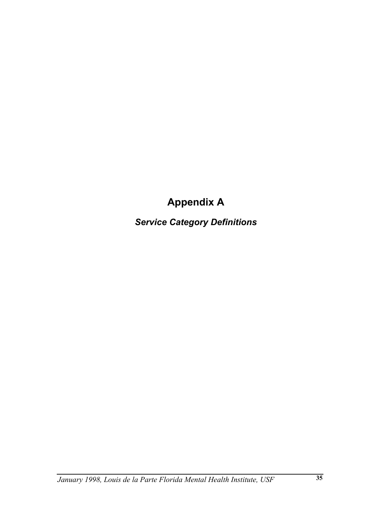# **Appendix A**

*Service Category Definitions*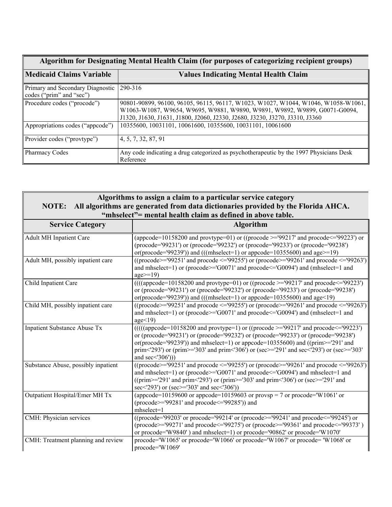| Algorithm for Designating Mental Health Claim (for purposes of categorizing recipient groups) |                                                                                                                                                                                                                                                |  |  |
|-----------------------------------------------------------------------------------------------|------------------------------------------------------------------------------------------------------------------------------------------------------------------------------------------------------------------------------------------------|--|--|
| Medicaid Claims Variable                                                                      | <b>Values Indicating Mental Health Claim</b>                                                                                                                                                                                                   |  |  |
| Primary and Secondary Diagnostic<br>codes ("prim" and "sec")                                  | 290-316                                                                                                                                                                                                                                        |  |  |
| Procedure codes ("procode")                                                                   | 90801-90899, 96100, 96105, 96115, 96117, W1023, W1027, W1044, W1046, W1058-W1061,<br>W1063-W1087, W9654, W9695, W9881, W9890, W9891, W9892, W9899, G0071-G0094,<br>J1320, J1630, J1631, J1800, J2060, J2330, J2680, J3230, J3270, J3310, J3360 |  |  |
| Appropriations codes ("appcode")                                                              | 10355600, 10031101, 10061600, 10355600, 10031101, 10061600                                                                                                                                                                                     |  |  |
| Provider codes ("provtype")                                                                   | 4, 5, 7, 32, 87, 91                                                                                                                                                                                                                            |  |  |
| <b>Pharmacy Codes</b>                                                                         | Any code indicating a drug categorized as psychotherapeutic by the 1997 Physicians Desk<br>Reference                                                                                                                                           |  |  |

### **Algorithms to assign a claim to a particular service category NOTE: All algorithms are generated from data dictionaries provided by the Florida AHCA. "mhselect"= mental health claim as defined in above table.**

| <b>Service Category</b>             | <b>Algorithm</b>                                                                                                                                                                                                                                                                                                                                                                                                       |
|-------------------------------------|------------------------------------------------------------------------------------------------------------------------------------------------------------------------------------------------------------------------------------------------------------------------------------------------------------------------------------------------------------------------------------------------------------------------|
| <b>Adult MH Inpatient Care</b>      | (appcode=10158200 and provtype=01) or ((procode $\ge$ ='99217' and procode $\le$ ='99223') or<br>(procode='99231') or (procode='99232') or (procode='99233') or (procode='99238')<br>or(procode='99239')) and (((mhselect=1) or appcode= $10355600$ ) and age>=19)                                                                                                                                                     |
| Adult MH, possibly inpatient care   | ((procode>='99251' and procode <='99255') or (procode>='99261' and procode <='99263')<br>and mhselect=1) or (procode>='G0071' and procode<='G0094') and (mhselect=1 and<br>$age \geq 19$                                                                                                                                                                                                                               |
| Child Inpatient Care                | $(((\text{approode}=10158200 \text{ and provtype}=01) \text{ or } ((\text{procode}>=99217 \text{ and procode}\leq99223'))$<br>or (procode='99231') or (procode='99232') or (procode='99233') or (procode='99238')<br>or(procode='99239')) and (((mhselect=1) or appcode= $10355600$ ) and age<19)                                                                                                                      |
| Child MH, possibly inpatient care   | ((procode>='99251' and procode <='99255') or (procode>='99261' and procode <='99263')<br>and mhselect=1) or (procode>='G0071' and procode<='G0094') and (mhselect=1 and<br>age<19                                                                                                                                                                                                                                      |
| Inpatient Substance Abuse Tx        | $((((\text{approode}=10158200 \text{ and prototype}=1) \text{ or } ((\text{procode}>=99217 \text{ and proceed}=99223'))$<br>or (procode='99231') or (procode='99232') or (procode='99233') or (procode='99238')<br>or(procode='99239')) and mhselect=1) or appcode= $10355600$ ) and ((prim>='291' and<br>prim<'293') or (prim>='303' and prim<'306') or (sec>='291' and sec<'293') or (sec>='303'<br>and $sec(306'))$ |
| Substance Abuse, possibly inpatient | ((procode>='99251' and procode <='99255') or (procode>='99261' and procode <='99263')<br>and mhselect=1) or (procode>='G0071' and procode<='G0094') and mhselect=1 and<br>((prim>='291' and prim<'293') or (prim>='303' and prim<'306') or (sec>='291' and<br>sec<'293') or (sec>='303' and sec<'306'))                                                                                                                |
| Outpatient Hospital/Emer MH Tx      | (appcode=10159600 or appcode=10159603 or provsp = 7 or procode='W1061' or<br>(procode>='99281' and procode<='99285')) and<br>$mhselect=1$                                                                                                                                                                                                                                                                              |
| CMH: Physician services             | ((procode='99203' or procode='99214' or (procode>='99241' and procode<='99245') or<br>(procode>='99271' and procode<='99275') or (procode>='99361' and procode<='99373')<br>or procode='W9840') and mhselect=1) or procode='90862' or procode='W1070'                                                                                                                                                                  |
| CMH: Treatment planning and review  | procode='W1065' or procode='W1066' or procode='W1067' or procode='W1068' or<br>$procedure=W1069'$                                                                                                                                                                                                                                                                                                                      |